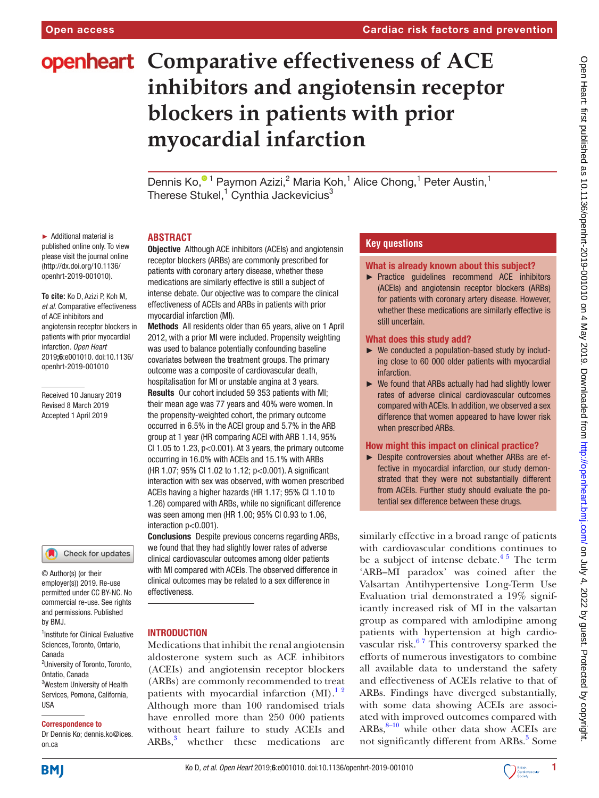# **openheart** Comparative effectiveness of ACE **inhibitors and angiotensin receptor blockers in patients with prior myocardial infarction**

Dennis Ko[,](http://orcid.org/0000-0001-6840-8051)<sup>® 1</sup> Paymon Azizi,<sup>2</sup> Maria Koh,<sup>1</sup> Alice Chong,<sup>1</sup> Peter Austin,<sup>1</sup> Therese Stukel, $^1$  Cynthia Jackevicius $^3$ 

► Additional material is published online only. To view please visit the journal online [\(http://dx.doi.org/10.1136/](http://dx.doi.org/10.1136/openhrt-2019-001010) [openhrt-2019-001010](http://dx.doi.org/10.1136/openhrt-2019-001010)).

**To cite:** Ko D, Azizi P, Koh M*, et al*. Comparative effectiveness of ACE inhibitors and angiotensin receptor blockers in patients with prior myocardial infarction*. Open Heart* 2019;6:e001010. doi:10.1136/ openhrt-2019-001010

Received 10 January 2019 Revised 8 March 2019 Accepted 1 April 2019

## Check for updates

© Author(s) (or their employer(s)) 2019. Re-use permitted under CC BY-NC. No commercial re-use. See rights and permissions. Published by BMJ.

<sup>1</sup>Institute for Clinical Evaluative Sciences, Toronto, Ontario, Canada

<sup>2</sup>University of Toronto, Toronto, Ontatio, Canada 3 Western University of Health Services, Pomona, California, **IISA** 

## Correspondence to

Dr Dennis Ko; dennis.ko@ices. on.ca

#### **Abstract**

**Objective** Although ACE inhibitors (ACEIs) and angiotensin receptor blockers (ARBs) are commonly prescribed for patients with coronary artery disease, whether these medications are similarly effective is still a subject of intense debate. Our objective was to compare the clinical effectiveness of ACEIs and ARBs in patients with prior myocardial infarction (MI).

Methods All residents older than 65 years, alive on 1 April 2012, with a prior MI were included. Propensity weighting was used to balance potentially confounding baseline covariates between the treatment groups. The primary outcome was a composite of cardiovascular death, hospitalisation for MI or unstable angina at 3 years.

Results Our cohort included 59 353 patients with MI; their mean age was 77 years and 40% were women. In the propensity-weighted cohort, the primary outcome occurred in 6.5% in the ACEI group and 5.7% in the ARB group at 1 year (HR comparing ACEI with ARB 1.14, 95% CI 1.05 to 1.23,  $p<0.001$ ). At 3 years, the primary outcome occurring in 16.0% with ACEIs and 15.1% with ARBs (HR 1.07; 95% CI 1.02 to 1.12; p<0.001). A significant interaction with sex was observed, with women prescribed ACEIs having a higher hazards (HR 1.17; 95% CI 1.10 to 1.26) compared with ARBs, while no significant difference was seen among men (HR 1.00; 95% CI 0.93 to 1.06, interaction p<0.001).

Conclusions Despite previous concerns regarding ARBs, we found that they had slightly lower rates of adverse clinical cardiovascular outcomes among older patients with MI compared with ACEIs. The observed difference in clinical outcomes may be related to a sex difference in effectiveness.

## **INTRODUCTION**

Medications that inhibit the renal angiotensin aldosterone system such as ACE inhibitors (ACEIs) and angiotensin receptor blockers (ARBs) are commonly recommended to treat patients with myocardial infarction  $(MI)$ .<sup>12</sup> Although more than 100 randomised trials have enrolled more than 250 000 patients without heart failure to study ACEIs and  $ARBs<sup>3</sup>$  $ARBs<sup>3</sup>$  $ARBs<sup>3</sup>$ whether these medications are

## **Key questions**

#### What is already known about this subject?

► Practice guidelines recommend ACE inhibitors (ACEIs) and angiotensin receptor blockers (ARBs) for patients with coronary artery disease. However, whether these medications are similarly effective is still uncertain.

#### What does this study add?

- ► We conducted a population-based study by including close to 60 000 older patients with myocardial infarction.
- ► We found that ARBs actually had had slightly lower rates of adverse clinical cardiovascular outcomes compared with ACEIs. In addition, we observed a sex difference that women appeared to have lower risk when prescribed ARBs.

## How might this impact on clinical practice?

► Despite controversies about whether ARBs are effective in myocardial infarction, our study demonstrated that they were not substantially different from ACEIs. Further study should evaluate the potential sex difference between these drugs.

similarly effective in a broad range of patients with cardiovascular conditions continues to be a subject of intense debate. $4^{\frac{4}{5}}$  The term 'ARB–MI paradox' was coined after the Valsartan Antihypertensive Long-Term Use Evaluation trial demonstrated a 19% significantly increased risk of MI in the valsartan group as compared with amlodipine among patients with hypertension at high cardiovascular risk. $67$  This controversy sparked the efforts of numerous investigators to combine all available data to understand the safety and effectiveness of ACEIs relative to that of ARBs. Findings have diverged substantially, with some data showing ACEIs are associated with improved outcomes compared with  $ARBs$ ,  $8-10$  while other data show ACEIs are not significantly different from ARBs.<sup>[3](#page-6-0)</sup> Some



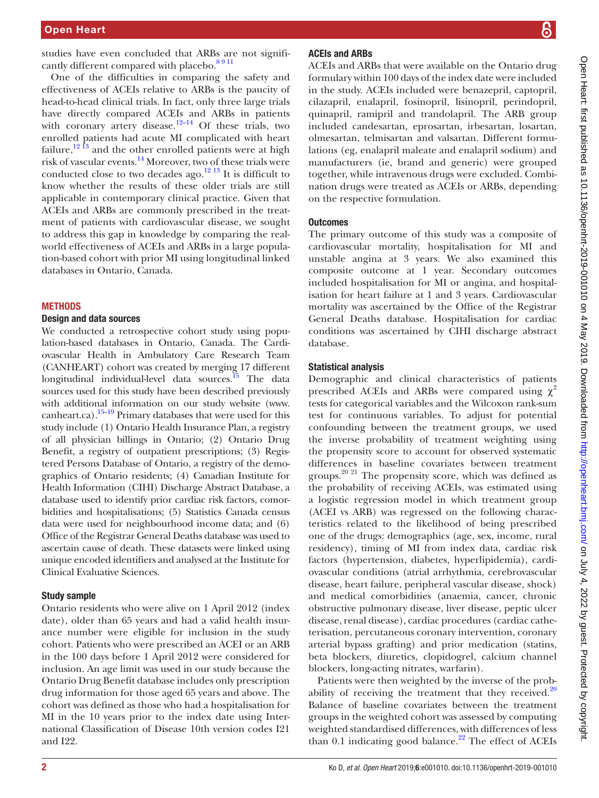studies have even concluded that ARBs are not significantly different compared with placebo.<sup>8 9 11</sup>

One of the difficulties in comparing the safety and effectiveness of ACEIs relative to ARBs is the paucity of head-to-head clinical trials. In fact, only three large trials have directly compared ACEIs and ARBs in patients with coronary artery disease.<sup>12–14</sup> Of these trials, two enrolled patients had acute MI complicated with heart failure,  $^{12}$  <sup>13</sup> and the other enrolled patients were at high risk of vascular events[.14](#page-6-5) Moreover, two of these trials were conducted close to two decades ago. $^{12}$  13 It is difficult to know whether the results of these older trials are still applicable in contemporary clinical practice. Given that ACEIs and ARBs are commonly prescribed in the treatment of patients with cardiovascular disease, we sought to address this gap in knowledge by comparing the realworld effectiveness of ACEIs and ARBs in a large population-based cohort with prior MI using longitudinal linked databases in Ontario, Canada.

#### **METHODS**

#### Design and data sources

We conducted a retrospective cohort study using population-based databases in Ontario, Canada. The Cardiovascular Health in Ambulatory Care Research Team (CANHEART) cohort was created by merging 17 different longitudinal individual-level data sources.<sup>15</sup> The data sources used for this study have been described previously with additional information on our study website ([www.](www.canheart.ca) [canheart.ca](www.canheart.ca)).<sup>15–19</sup> Primary databases that were used for this study include (1) Ontario Health Insurance Plan, a registry of all physician billings in Ontario; (2) Ontario Drug Benefit, a registry of outpatient prescriptions; (3) Registered Persons Database of Ontario, a registry of the demographics of Ontario residents; (4) Canadian Institute for Health Information (CIHI) Discharge Abstract Database, a database used to identify prior cardiac risk factors, comorbidities and hospitalisations; (5) Statistics Canada census data were used for neighbourhood income data; and (6) Office of the Registrar General Deaths database was used to ascertain cause of death. These datasets were linked using unique encoded identifiers and analysed at the Institute for Clinical Evaluative Sciences.

#### Study sample

Ontario residents who were alive on 1 April 2012 (index date), older than 65 years and had a valid health insurance number were eligible for inclusion in the study cohort. Patients who were prescribed an ACEI or an ARB in the 100 days before 1 April 2012 were considered for inclusion. An age limit was used in our study because the Ontario Drug Benefit database includes only prescription drug information for those aged 65 years and above. The cohort was defined as those who had a hospitalisation for MI in the 10 years prior to the index date using International Classification of Disease 10th version codes I21 and I22.

## ACEIs and ARBs

ACEIs and ARBs that were available on the Ontario drug formulary within 100 days of the index date were included in the study. ACEIs included were benazepril, captopril, cilazapril, enalapril, fosinopril, lisinopril, perindopril, quinapril, ramipril and trandolapril. The ARB group included candesartan, eprosartan, irbesartan, losartan, olmesartan, telmisartan and valsartan. Different formulations (eg, enalapril maleate and enalapril sodium) and manufacturers (ie, brand and generic) were grouped together, while intravenous drugs were excluded. Combination drugs were treated as ACEIs or ARBs, depending on the respective formulation.

#### **Outcomes**

The primary outcome of this study was a composite of cardiovascular mortality, hospitalisation for MI and unstable angina at 3 years. We also examined this composite outcome at 1 year. Secondary outcomes included hospitalisation for MI or angina, and hospitalisation for heart failure at 1 and 3 years. Cardiovascular mortality was ascertained by the Office of the Registrar General Deaths database. Hospitalisation for cardiac conditions was ascertained by CIHI discharge abstract database.

#### Statistical analysis

Demographic and clinical characteristics of patients prescribed ACEIs and ARBs were compared using  $\chi^2$ tests for categorical variables and the Wilcoxon rank-sum test for continuous variables. To adjust for potential confounding between the treatment groups, we used the inverse probability of treatment weighting using the propensity score to account for observed systematic differences in baseline covariates between treatment groups.20 21 The propensity score, which was defined as the probability of receiving ACEIs, was estimated using a logistic regression model in which treatment group (ACEI vs ARB) was regressed on the following characteristics related to the likelihood of being prescribed one of the drugs: demographics (age, sex, income, rural residency), timing of MI from index data, cardiac risk factors (hypertension, diabetes, hyperlipidemia), cardiovascular conditions (atrial arrhythmia, cerebrovascular disease, heart failure, peripheral vascular disease, shock) and medical comorbidities (anaemia, cancer, chronic obstructive pulmonary disease, liver disease, peptic ulcer disease, renal disease), cardiac procedures (cardiac catheterisation, percutaneous coronary intervention, coronary arterial bypass grafting) and prior medication (statins, beta blockers, diuretics, clopidogrel, calcium channel blockers, long-acting nitrates, warfarin).

Patients were then weighted by the inverse of the probability of receiving the treatment that they received. $20$ Balance of baseline covariates between the treatment groups in the weighted cohort was assessed by computing weighted standardised differences, with differences of less than 0.1 indicating good balance. $22$  The effect of ACEIs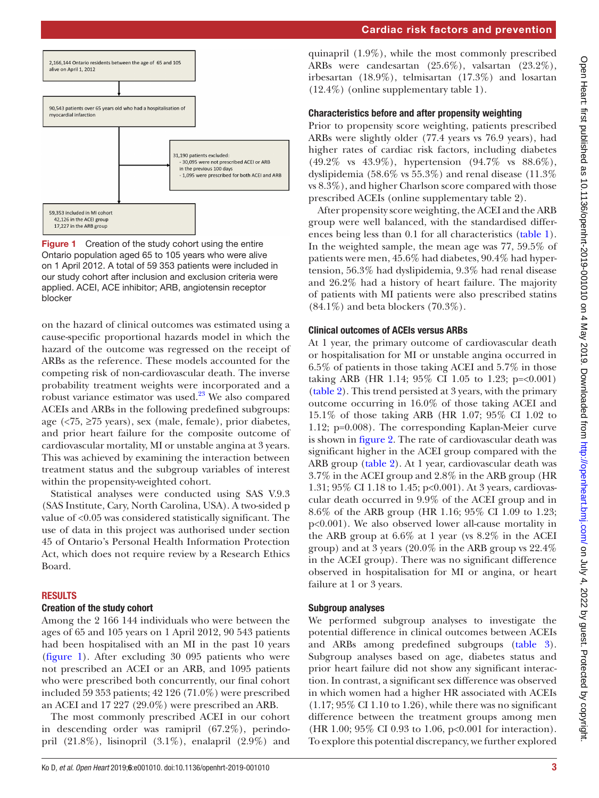

<span id="page-2-0"></span>

on the hazard of clinical outcomes was estimated using a cause-specific proportional hazards model in which the hazard of the outcome was regressed on the receipt of ARBs as the reference. These models accounted for the competing risk of non-cardiovascular death. The inverse probability treatment weights were incorporated and a robust variance estimator was used.[23](#page-6-9) We also compared ACEIs and ARBs in the following predefined subgroups: age  $\langle \langle 75, \rangle 275 \rangle$  years), sex (male, female), prior diabetes, and prior heart failure for the composite outcome of cardiovascular mortality, MI or unstable angina at 3 years. This was achieved by examining the interaction between treatment status and the subgroup variables of interest within the propensity-weighted cohort.

Statistical analyses were conducted using SAS V.9.3 (SAS Institute, Cary, North Carolina, USA). A two-sided p value of <0.05 was considered statistically significant. The use of data in this project was authorised under section 45 of Ontario's Personal Health Information Protection Act, which does not require review by a Research Ethics Board.

#### **RESULTS**

#### Creation of the study cohort

Among the 2 166 144 individuals who were between the ages of 65 and 105 years on 1 April 2012, 90 543 patients had been hospitalised with an MI in the past 10 years ([figure](#page-2-0) 1). After excluding 30 095 patients who were not prescribed an ACEI or an ARB, and 1095 patients who were prescribed both concurrently, our final cohort included 59 353 patients; 42 126 (71.0%) were prescribed an ACEI and 17 227 (29.0%) were prescribed an ARB.

The most commonly prescribed ACEI in our cohort in descending order was ramipril (67.2%), perindopril (21.8%), lisinopril (3.1%), enalapril (2.9%) and

quinapril (1.9%), while the most commonly prescribed ARBs were candesartan (25.6%), valsartan (23.2%), irbesartan (18.9%), telmisartan (17.3%) and losartan (12.4%) ([online supplementary table 1](https://dx.doi.org/10.1136/openhrt-2019-001010)).

## Characteristics before and after propensity weighting

Prior to propensity score weighting, patients prescribed ARBs were slightly older (77.4 years vs 76.9 years), had higher rates of cardiac risk factors, including diabetes (49.2% vs 43.9%), hypertension (94.7% vs 88.6%), dyslipidemia (58.6% vs 55.3%) and renal disease (11.3% vs 8.3%), and higher Charlson score compared with those prescribed ACEIs [\(online supplementary table 2\)](https://dx.doi.org/10.1136/openhrt-2019-001010).

After propensity score weighting, the ACEI and the ARB group were well balanced, with the standardised differences being less than 0.1 for all characteristics [\(table](#page-3-0) 1). In the weighted sample, the mean age was 77, 59.5% of patients were men, 45.6% had diabetes, 90.4% had hypertension, 56.3% had dyslipidemia, 9.3% had renal disease and 26.2% had a history of heart failure. The majority of patients with MI patients were also prescribed statins  $(84.1\%)$  and beta blockers  $(70.3\%)$ .

## Clinical outcomes of ACEIs versus ARBs

At 1 year, the primary outcome of cardiovascular death or hospitalisation for MI or unstable angina occurred in 6.5% of patients in those taking ACEI and 5.7% in those taking ARB (HR 1.14; 95% CI 1.05 to 1.23; p=<0.001) [\(table](#page-4-0) 2). This trend persisted at 3 years, with the primary outcome occurring in 16.0% of those taking ACEI and 15.1% of those taking ARB (HR 1.07; 95% CI 1.02 to 1.12; p=0.008). The corresponding Kaplan-Meier curve is shown in [figure](#page-4-1) 2. The rate of cardiovascular death was significant higher in the ACEI group compared with the ARB group [\(table](#page-4-0) 2). At 1 year, cardiovascular death was 3.7% in the ACEI group and 2.8% in the ARB group (HR 1.31; 95% CI 1.18 to 1.45; p<0.001). At 3 years, cardiovascular death occurred in 9.9% of the ACEI group and in 8.6% of the ARB group (HR 1.16; 95% CI 1.09 to 1.23; p<0.001). We also observed lower all-cause mortality in the ARB group at 6.6% at 1 year (vs 8.2% in the ACEI group) and at 3 years (20.0% in the ARB group vs 22.4% in the ACEI group). There was no significant difference observed in hospitalisation for MI or angina, or heart failure at 1 or 3 years.

## Subgroup analyses

We performed subgroup analyses to investigate the potential difference in clinical outcomes between ACEIs and ARBs among predefined subgroups ([table](#page-5-1) 3). Subgroup analyses based on age, diabetes status and prior heart failure did not show any significant interaction. In contrast, a significant sex difference was observed in which women had a higher HR associated with ACEIs  $(1.17; 95\% \text{ CI } 1.10 \text{ to } 1.26)$ , while there was no significant difference between the treatment groups among men (HR 1.00; 95% CI 0.93 to 1.06, p<0.001 for interaction). To explore this potential discrepancy, we further explored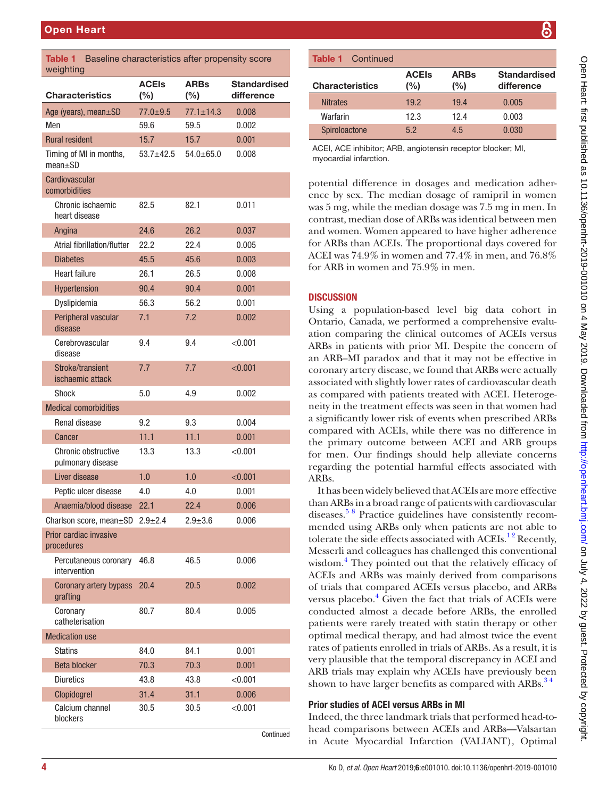<span id="page-3-0"></span>

| Table 1<br>Baseline characteristics after propensity score<br>weighting |                        |                       |                                   |  |  |  |
|-------------------------------------------------------------------------|------------------------|-----------------------|-----------------------------------|--|--|--|
| <b>Characteristics</b>                                                  | <b>ACEIs</b><br>$(\%)$ | <b>ARBs</b><br>$(\%)$ | <b>Standardised</b><br>difference |  |  |  |
| Age (years), mean±SD                                                    | $77.0 \pm 9.5$         | $77.1 \pm 14.3$       | 0.008                             |  |  |  |
| Men                                                                     | 59.6                   | 59.5                  | 0.002                             |  |  |  |
| <b>Rural resident</b>                                                   | 15.7                   | 15.7                  | 0.001                             |  |  |  |
| Timing of MI in months,<br>$mean + SD$                                  | $53.7 + 42.5$          | $54.0 \pm 65.0$       | 0.008                             |  |  |  |
| Cardiovascular<br>comorbidities                                         |                        |                       |                                   |  |  |  |
| Chronic ischaemic<br>heart disease                                      | 82.5                   | 82.1                  | 0.011                             |  |  |  |
| Angina                                                                  | 24.6                   | 26.2                  | 0.037                             |  |  |  |
| Atrial fibrillation/flutter                                             | 22.2                   | 22.4                  | 0.005                             |  |  |  |
| <b>Diabetes</b>                                                         | 45.5                   | 45.6                  | 0.003                             |  |  |  |
| <b>Heart failure</b>                                                    | 26.1                   | 26.5                  | 0.008                             |  |  |  |
| Hypertension                                                            | 90.4                   | 90.4                  | 0.001                             |  |  |  |
| Dyslipidemia                                                            | 56.3                   | 56.2                  | 0.001                             |  |  |  |
| Peripheral vascular<br>disease                                          | 7.1                    | 7.2                   | 0.002                             |  |  |  |
| Cerebrovascular<br>disease                                              | 9.4                    | 9.4                   | < 0.001                           |  |  |  |
| Stroke/transient<br>ischaemic attack                                    | 7.7                    | 7.7                   | < 0.001                           |  |  |  |
| Shock                                                                   | 5.0                    | 4.9                   | 0.002                             |  |  |  |
| <b>Medical comorbidities</b>                                            |                        |                       |                                   |  |  |  |
| Renal disease                                                           | 9.2                    | 9.3                   | 0.004                             |  |  |  |
| Cancer                                                                  | 11.1                   | 11.1                  | 0.001                             |  |  |  |
| Chronic obstructive<br>pulmonary disease                                | 13.3                   | 13.3                  | < 0.001                           |  |  |  |
| Liver disease                                                           | 1.0                    | 1.0                   | < 0.001                           |  |  |  |
| Peptic ulcer disease                                                    | 4.0                    | 4.0                   | 0.001                             |  |  |  |
| Anaemia/blood disease 22.1                                              |                        | 22.4                  | 0.006                             |  |  |  |
| Charlson score, mean $\pm$ SD 2.9 $\pm$ 2.4                             |                        | $2.9 + 3.6$           | 0.006                             |  |  |  |
| Prior cardiac invasive<br>procedures                                    |                        |                       |                                   |  |  |  |
| Percutaneous coronary<br>intervention                                   | 46.8                   | 46.5                  | 0.006                             |  |  |  |
| Coronary artery bypass<br>grafting                                      | 20.4                   | 20.5                  | 0.002                             |  |  |  |
| Coronary<br>catheterisation                                             | 80.7                   | 80.4                  | 0.005                             |  |  |  |
| <b>Medication use</b>                                                   |                        |                       |                                   |  |  |  |
| <b>Statins</b>                                                          | 84.0                   | 84.1                  | 0.001                             |  |  |  |
| <b>Beta blocker</b>                                                     | 70.3                   | 70.3                  | 0.001                             |  |  |  |
| <b>Diuretics</b>                                                        | 43.8                   | 43.8                  | < 0.001                           |  |  |  |
| Clopidogrel                                                             | 31.4                   | 31.1                  | 0.006                             |  |  |  |
| Calcium channel<br>blockers                                             | 30.5                   | 30.5                  | < 0.001                           |  |  |  |

Continued

ACEI, ACE inhibitor; ARB, angiotensin receptor blocker; MI, myocardial infarction.

Spiroloactone 5.2 4.5 0.030

potential difference in dosages and medication adherence by sex. The median dosage of ramipril in women was 5 mg, while the median dosage was 7.5 mg in men. In contrast, median dose of ARBs was identical between men and women. Women appeared to have higher adherence for ARBs than ACEIs. The proportional days covered for ACEI was 74.9% in women and 77.4% in men, and 76.8% for ARB in women and 75.9% in men.

## **DISCUSSION**

Using a population-based level big data cohort in Ontario, Canada, we performed a comprehensive evaluation comparing the clinical outcomes of ACEIs versus ARBs in patients with prior MI. Despite the concern of an ARB–MI paradox and that it may not be effective in coronary artery disease, we found that ARBs were actually associated with slightly lower rates of cardiovascular death as compared with patients treated with ACEI. Heterogeneity in the treatment effects was seen in that women had a significantly lower risk of events when prescribed ARBs compared with ACEIs, while there was no difference in the primary outcome between ACEI and ARB groups for men. Our findings should help alleviate concerns regarding the potential harmful effects associated with ARBs.

It has been widely believed that ACEIs are more effective than ARBs in a broad range of patients with cardiovascular diseases.<sup>58</sup> Practice guidelines have consistently recommended using ARBs only when patients are not able to tolerate the side effects associated with  $ACEIs.<sup>12</sup> Recently,$ Messerli and colleagues has challenged this conventional wisdom.<sup>[4](#page-6-1)</sup> They pointed out that the relatively efficacy of ACEIs and ARBs was mainly derived from comparisons of trials that compared ACEIs versus placebo, and ARBs versus placebo.<sup>[4](#page-6-1)</sup> Given the fact that trials of ACEIs were conducted almost a decade before ARBs, the enrolled patients were rarely treated with statin therapy or other optimal medical therapy, and had almost twice the event rates of patients enrolled in trials of ARBs. As a result, it is very plausible that the temporal discrepancy in ACEI and ARB trials may explain why ACEIs have previously been shown to have larger benefits as compared with ARBs.<sup>34</sup>

## Prior studies of ACEI versus ARBs in MI

Indeed, the three landmark trials that performed head-tohead comparisons between ACEIs and ARBs—Valsartan in Acute Myocardial Infarction (VALIANT), Optimal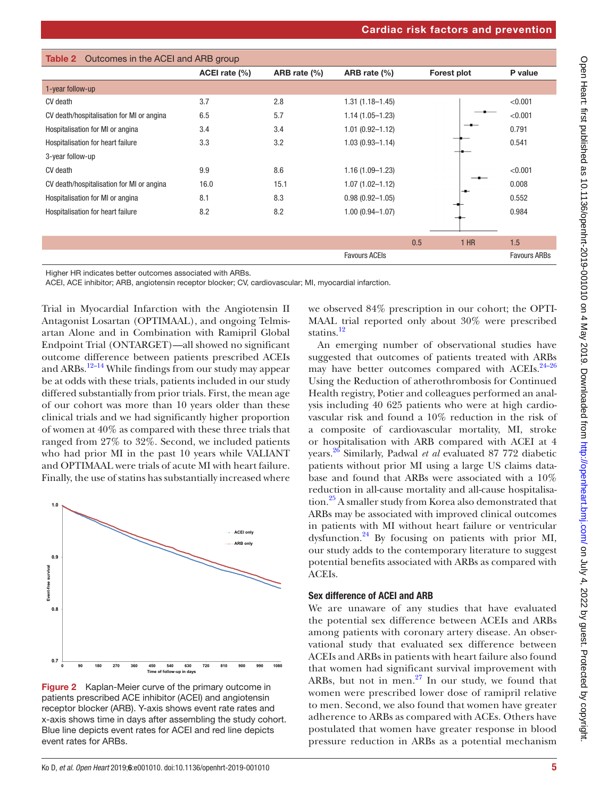<span id="page-4-0"></span>

| Outcomes in the ACEI and ARB group<br>Table 2 |               |              |                      |             |        |                     |  |  |
|-----------------------------------------------|---------------|--------------|----------------------|-------------|--------|---------------------|--|--|
|                                               | ACEI rate (%) | ARB rate (%) | ARB rate (%)         | Forest plot |        | P value             |  |  |
| 1-year follow-up                              |               |              |                      |             |        |                     |  |  |
| CV death                                      | 3.7           | 2.8          | $1.31(1.18 - 1.45)$  |             |        | < 0.001             |  |  |
| CV death/hospitalisation for MI or angina     | 6.5           | 5.7          | $1.14(1.05 - 1.23)$  |             |        | < 0.001             |  |  |
| Hospitalisation for MI or angina              | 3.4           | 3.4          | $1.01(0.92 - 1.12)$  |             |        | 0.791               |  |  |
| Hospitalisation for heart failure             | 3.3           | 3.2          | $1.03(0.93 - 1.14)$  |             |        | 0.541               |  |  |
| 3-year follow-up                              |               |              |                      |             |        |                     |  |  |
| CV death                                      | 9.9           | 8.6          | $1.16(1.09 - 1.23)$  |             |        | < 0.001             |  |  |
| CV death/hospitalisation for MI or angina     | 16.0          | 15.1         | $1.07(1.02 - 1.12)$  |             |        | 0.008               |  |  |
| Hospitalisation for MI or angina              | 8.1           | 8.3          | $0.98(0.92 - 1.05)$  |             |        | 0.552               |  |  |
| Hospitalisation for heart failure             | 8.2           | 8.2          | $1.00(0.94 - 1.07)$  |             |        | 0.984               |  |  |
|                                               |               |              |                      |             |        |                     |  |  |
|                                               |               |              |                      | 0.5         | $1$ HR | 1.5                 |  |  |
|                                               |               |              | <b>Favours ACEIS</b> |             |        | <b>Favours ARBs</b> |  |  |

Higher HR indicates better outcomes associated with ARBs.

ACEI, ACE inhibitor; ARB, angiotensin receptor blocker; CV, cardiovascular; MI, myocardial infarction.

Trial in Myocardial Infarction with the Angiotensin II Antagonist Losartan (OPTIMAAL), and ongoing Telmisartan Alone and in Combination with Ramipril Global Endpoint Trial (ONTARGET)—all showed no significant outcome difference between patients prescribed ACEIs and ARBs[.12–14](#page-6-4) While findings from our study may appear be at odds with these trials, patients included in our study differed substantially from prior trials. First, the mean age of our cohort was more than 10 years older than these clinical trials and we had significantly higher proportion of women at 40% as compared with these three trials that ranged from 27% to 32%. Second, we included patients who had prior MI in the past 10 years while VALIANT and OPTIMAAL were trials of acute MI with heart failure. Finally, the use of statins has substantially increased where



<span id="page-4-1"></span>Figure 2 Kaplan-Meier curve of the primary outcome in patients prescribed ACE inhibitor (ACEI) and angiotensin receptor blocker (ARB). Y-axis shows event rate rates and x-axis shows time in days after assembling the study cohort. Blue line depicts event rates for ACEI and red line depicts event rates for ARBs.

we observed 84% prescription in our cohort; the OPTI-MAAL trial reported only about 30% were prescribed statins.<sup>[12](#page-6-4)</sup>

An emerging number of observational studies have suggested that outcomes of patients treated with ARBs may have better outcomes compared with ACEIs.<sup>24-26</sup> Using the Reduction of atherothrombosis for Continued Health registry, Potier and colleagues performed an analysis including 40 625 patients who were at high cardiovascular risk and found a 10% reduction in the risk of a composite of cardiovascular mortality, MI, stroke or hospitalisation with ARB compared with ACEI at 4 years[.26](#page-6-12) Similarly, Padwal *et al* evaluated 87 772 diabetic patients without prior MI using a large US claims database and found that ARBs were associated with a 10% reduction in all-cause mortality and all-cause hospitalisation[.25](#page-6-13) A smaller study from Korea also demonstrated that ARBs may be associated with improved clinical outcomes in patients with MI without heart failure or ventricular dysfunction[.24](#page-6-11) By focusing on patients with prior MI, our study adds to the contemporary literature to suggest potential benefits associated with ARBs as compared with ACEIs.

## Sex difference of ACEI and ARB

We are unaware of any studies that have evaluated the potential sex difference between ACEIs and ARBs among patients with coronary artery disease. An observational study that evaluated sex difference between ACEIs and ARBs in patients with heart failure also found that women had significant survival improvement with ARBs, but not in men. $27$  In our study, we found that women were prescribed lower dose of ramipril relative to men. Second, we also found that women have greater adherence to ARBs as compared with ACEs. Others have postulated that women have greater response in blood pressure reduction in ARBs as a potential mechanism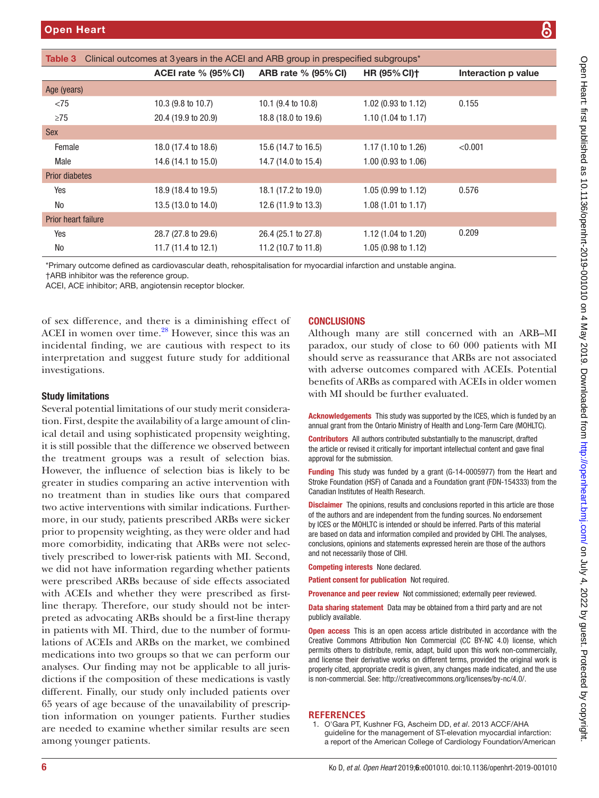<span id="page-5-1"></span>

| Clinical outcomes at 3 years in the ACEI and ARB group in prespecified subgroups*<br>Table 3 |                             |                               |                                |                     |  |  |  |
|----------------------------------------------------------------------------------------------|-----------------------------|-------------------------------|--------------------------------|---------------------|--|--|--|
|                                                                                              | <b>ACEI rate % (95% CI)</b> | <b>ARB rate % (95% CI)</b>    | <b>HR (95% CI)+</b>            | Interaction p value |  |  |  |
| Age (years)                                                                                  |                             |                               |                                |                     |  |  |  |
| < 75                                                                                         | 10.3 (9.8 to 10.7)          | 10.1 $(9.4 \text{ to } 10.8)$ | 1.02 $(0.93 \text{ to } 1.12)$ | 0.155               |  |  |  |
| $\geq$ 75                                                                                    | 20.4 (19.9 to 20.9)         | 18.8 (18.0 to 19.6)           | 1.10 $(1.04 \text{ to } 1.17)$ |                     |  |  |  |
| <b>Sex</b>                                                                                   |                             |                               |                                |                     |  |  |  |
| Female                                                                                       | 18.0 (17.4 to 18.6)         | 15.6 (14.7 to 16.5)           | $1.17(1.10 \text{ to } 1.26)$  | < 0.001             |  |  |  |
| Male                                                                                         | 14.6 (14.1 to 15.0)         | 14.7 (14.0 to 15.4)           | $1.00$ (0.93 to $1.06$ )       |                     |  |  |  |
| <b>Prior diabetes</b>                                                                        |                             |                               |                                |                     |  |  |  |
| Yes                                                                                          | 18.9 (18.4 to 19.5)         | 18.1 (17.2 to 19.0)           | $1.05(0.99 \text{ to } 1.12)$  | 0.576               |  |  |  |
| No                                                                                           | 13.5 (13.0 to 14.0)         | 12.6 (11.9 to 13.3)           | 1.08(1.01 to 1.17)             |                     |  |  |  |
| Prior heart failure                                                                          |                             |                               |                                |                     |  |  |  |
| Yes                                                                                          | 28.7 (27.8 to 29.6)         | 26.4 (25.1 to 27.8)           | 1.12 $(1.04 \text{ to } 1.20)$ | 0.209               |  |  |  |
| No                                                                                           | 11.7 (11.4 to 12.1)         | 11.2 (10.7 to 11.8)           | 1.05 (0.98 to 1.12)            |                     |  |  |  |
|                                                                                              |                             |                               |                                |                     |  |  |  |

\*Primary outcome defined as cardiovascular death, rehospitalisation for myocardial infarction and unstable angina.

†ARB inhibitor was the reference group.

ACEI, ACE inhibitor; ARB, angiotensin receptor blocker.

of sex difference, and there is a diminishing effect of ACEI in women over time.<sup>[28](#page-6-15)</sup> However, since this was an incidental finding, we are cautious with respect to its interpretation and suggest future study for additional investigations.

### Study limitations

Several potential limitations of our study merit consideration. First, despite the availability of a large amount of clinical detail and using sophisticated propensity weighting, it is still possible that the difference we observed between the treatment groups was a result of selection bias. However, the influence of selection bias is likely to be greater in studies comparing an active intervention with no treatment than in studies like ours that compared two active interventions with similar indications. Furthermore, in our study, patients prescribed ARBs were sicker prior to propensity weighting, as they were older and had more comorbidity, indicating that ARBs were not selectively prescribed to lower-risk patients with MI. Second, we did not have information regarding whether patients were prescribed ARBs because of side effects associated with ACEIs and whether they were prescribed as firstline therapy. Therefore, our study should not be interpreted as advocating ARBs should be a first-line therapy in patients with MI. Third, due to the number of formulations of ACEIs and ARBs on the market, we combined medications into two groups so that we can perform our analyses. Our finding may not be applicable to all jurisdictions if the composition of these medications is vastly different. Finally, our study only included patients over 65 years of age because of the unavailability of prescription information on younger patients. Further studies are needed to examine whether similar results are seen among younger patients.

## **CONCLUSIONS**

Although many are still concerned with an ARB–MI paradox, our study of close to 60 000 patients with MI should serve as reassurance that ARBs are not associated with adverse outcomes compared with ACEIs. Potential benefits of ARBs as compared with ACEIs in older women with MI should be further evaluated.

Acknowledgements This study was supported by the ICES, which is funded by an annual grant from the Ontario Ministry of Health and Long-Term Care (MOHLTC).

Contributors All authors contributed substantially to the manuscript, drafted the article or revised it critically for important intellectual content and gave final approval for the submission.

Funding This study was funded by a grant (G-14-0005977) from the Heart and Stroke Foundation (HSF) of Canada and a Foundation grant (FDN-154333) from the Canadian Institutes of Health Research.

**Disclaimer** The opinions, results and conclusions reported in this article are those of the authors and are independent from the funding sources. No endorsement by ICES or the MOHLTC is intended or should be inferred. Parts of this material are based on data and information compiled and provided by CIHI. The analyses, conclusions, opinions and statements expressed herein are those of the authors and not necessarily those of CIHI.

Competing interests None declared.

Patient consent for publication Not required.

Provenance and peer review Not commissioned; externally peer reviewed.

Data sharing statement Data may be obtained from a third party and are not publicly available.

Open access This is an open access article distributed in accordance with the Creative Commons Attribution Non Commercial (CC BY-NC 4.0) license, which permits others to distribute, remix, adapt, build upon this work non-commercially, and license their derivative works on different terms, provided the original work is properly cited, appropriate credit is given, any changes made indicated, and the use is non-commercial. See: [http://creativecommons.org/licenses/by-nc/4.0/.](http://creativecommons.org/licenses/by-nc/4.0/)

## **References**

<span id="page-5-0"></span>1. O'Gara PT, Kushner FG, Ascheim DD, *et al*. 2013 ACCF/AHA guideline for the management of ST-elevation myocardial infarction: a report of the American College of Cardiology Foundation/American